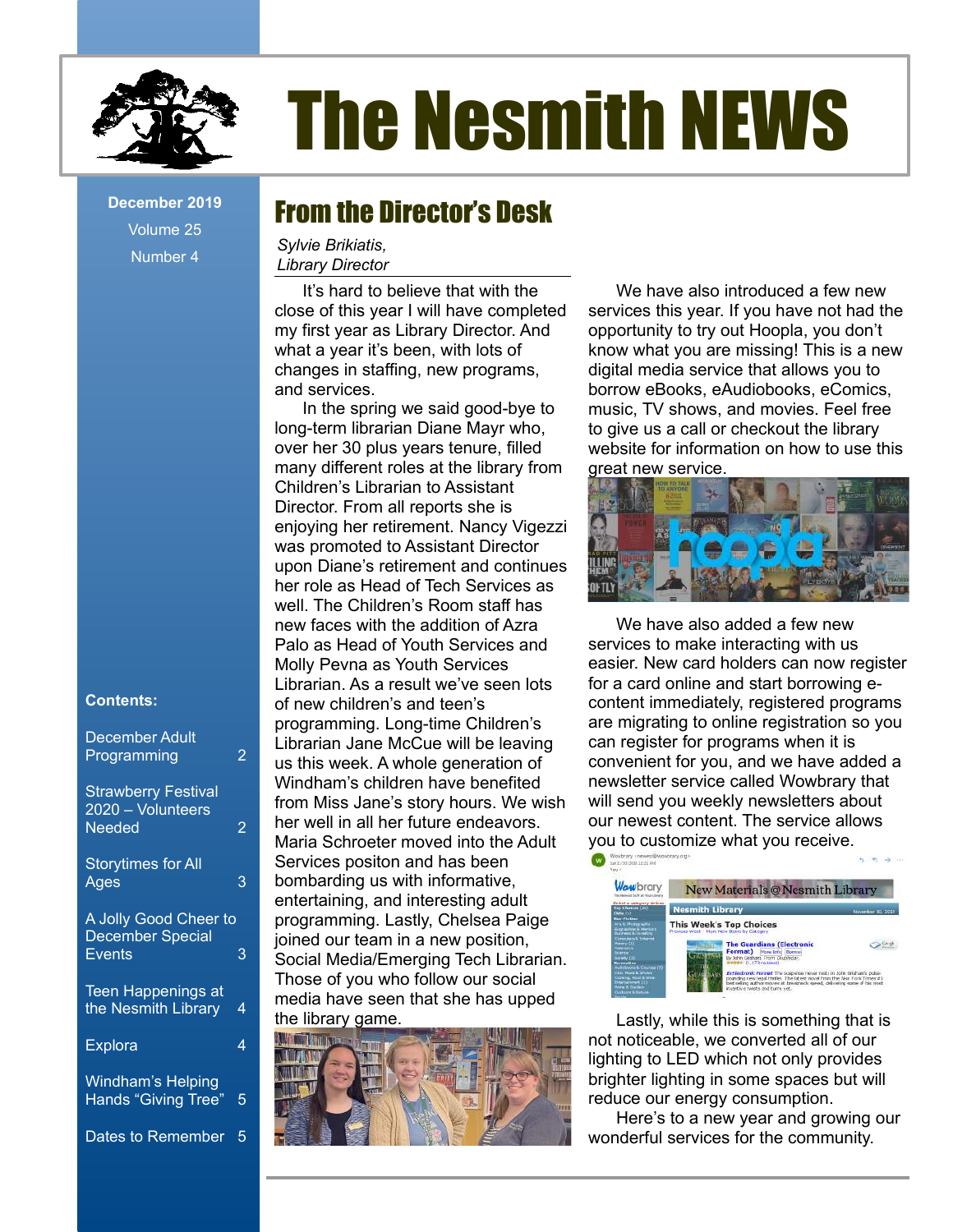

Volume 25 Number 4

#### **Contents:**

| <b>December Adult</b><br>Programming                       | 2 |
|------------------------------------------------------------|---|
| <b>Strawberry Festival</b><br>2020 - Volunteers<br>Needed  | 2 |
| <b>Storytimes for All</b><br>Ages                          | 3 |
| A Jolly Good Cheer to<br><b>December Special</b><br>Events | 3 |
| <b>Teen Happenings at</b><br>the Nesmith Library           | 4 |
| <b>Explora</b>                                             | 4 |
| Windham's Helping<br><b>Hands "Giving Tree"</b>            | 5 |

Dates to Remember 5

# The Nesmith NEWS

## **December 2019 •• From the Director's Desk**

*Sylvie Brikiatis, Library Director*

It's hard to believe that with the close of this year I will have completed my first year as Library Director. And what a year it's been, with lots of changes in staffing, new programs, and services.

In the spring we said good-bye to long-term librarian Diane Mayr who, over her 30 plus years tenure, filled many different roles at the library from Children's Librarian to Assistant Director. From all reports she is enjoying her retirement. Nancy Vigezzi was promoted to Assistant Director upon Diane's retirement and continues her role as Head of Tech Services as well. The Children's Room staff has new faces with the addition of Azra Palo as Head of Youth Services and Molly Pevna as Youth Services Librarian. As a result we've seen lots of new children's and teen's programming. Long-time Children's Librarian Jane McCue will be leaving us this week. A whole generation of Windham's children have benefited from Miss Jane's story hours. We wish her well in all her future endeavors. Maria Schroeter moved into the Adult Services positon and has been bombarding us with informative, entertaining, and interesting adult programming. Lastly, Chelsea Paige joined our team in a new position, Social Media/Emerging Tech Librarian. Those of you who follow our social media have seen that she has upped the library game.



We have also introduced a few new services this year. If you have not had the opportunity to try out Hoopla, you don't know what you are missing! This is a new digital media service that allows you to borrow eBooks, eAudiobooks, eComics, music, TV shows, and movies. Feel free to give us a call or checkout the library website for information on how to use this great new service.



We have also added a few new services to make interacting with us easier. New card holders can now register for a card online and start borrowing econtent immediately, registered programs are migrating to online registration so you can register for programs when it is convenient for you, and we have added a newsletter service called Wowbrary that will send you weekly newsletters about our newest content. The service allows you to customize what you receive.



Lastly, while this is something that is not noticeable, we converted all of our lighting to LED which not only provides brighter lighting in some spaces but will reduce our energy consumption.

Here's to a new year and growing our wonderful services for the community.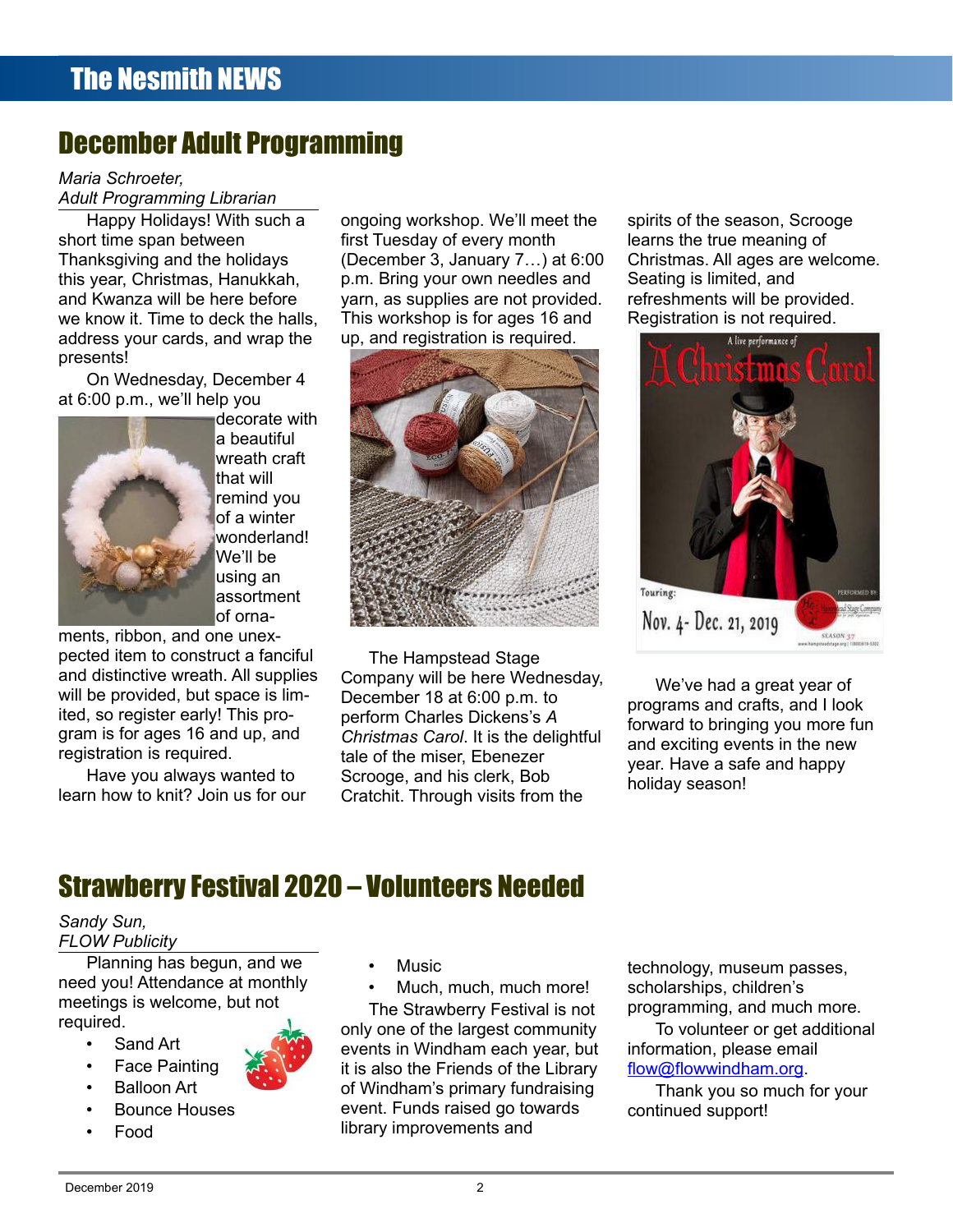## December Adult Programming

#### *Maria Schroeter,*

*Adult Programming Librarian*

Happy Holidays! With such a short time span between Thanksgiving and the holidays this year, Christmas, Hanukkah, and Kwanza will be here before we know it. Time to deck the halls, address your cards, and wrap the presents!

On Wednesday, December 4 at 6:00 p.m., we'll help you



decorate with a beautiful wreath craft that will remind you of a winter wonderland! We'll be using an assortment of orna-

ments, ribbon, and one unexpected item to construct a fanciful and distinctive wreath. All supplies will be provided, but space is limited, so register early! This program is for ages 16 and up, and registration is required.

Have you always wanted to learn how to knit? Join us for our ongoing workshop. We'll meet the first Tuesday of every month (December 3, January 7…) at 6:00 p.m. Bring your own needles and yarn, as supplies are not provided. This workshop is for ages 16 and up, and registration is required.



The Hampstead Stage Company will be here Wednesday, December 18 at 6:00 p.m. to perform Charles Dickens's *A Christmas Carol*. It is the delightful tale of the miser, Ebenezer Scrooge, and his clerk, Bob Cratchit. Through visits from the

spirits of the season, Scrooge learns the true meaning of Christmas. All ages are welcome. Seating is limited, and refreshments will be provided. Registration is not required.



We've had a great year of programs and crafts, and I look forward to bringing you more fun and exciting events in the new year. Have a safe and happy holiday season!

## Strawberry Festival 2020 – Volunteers Needed

## *Sandy Sun,*

*FLOW Publicity*

Planning has begun, and we need you! Attendance at monthly meetings is welcome, but not required.

- Sand Art
- **Face Painting**
- Balloon Art
- Bounce Houses
- Food
- **Music**
- Much, much, much more!

The Strawberry Festival is not only one of the largest community events in Windham each year, but it is also the Friends of the Library of Windham's primary fundraising event. Funds raised go towards library improvements and

technology, museum passes, scholarships, children's programming, and much more. To volunteer or get additional

information, please email [flow@flowwindham.org.](mailto:flow@flowwindham.org)

Thank you so much for your continued support!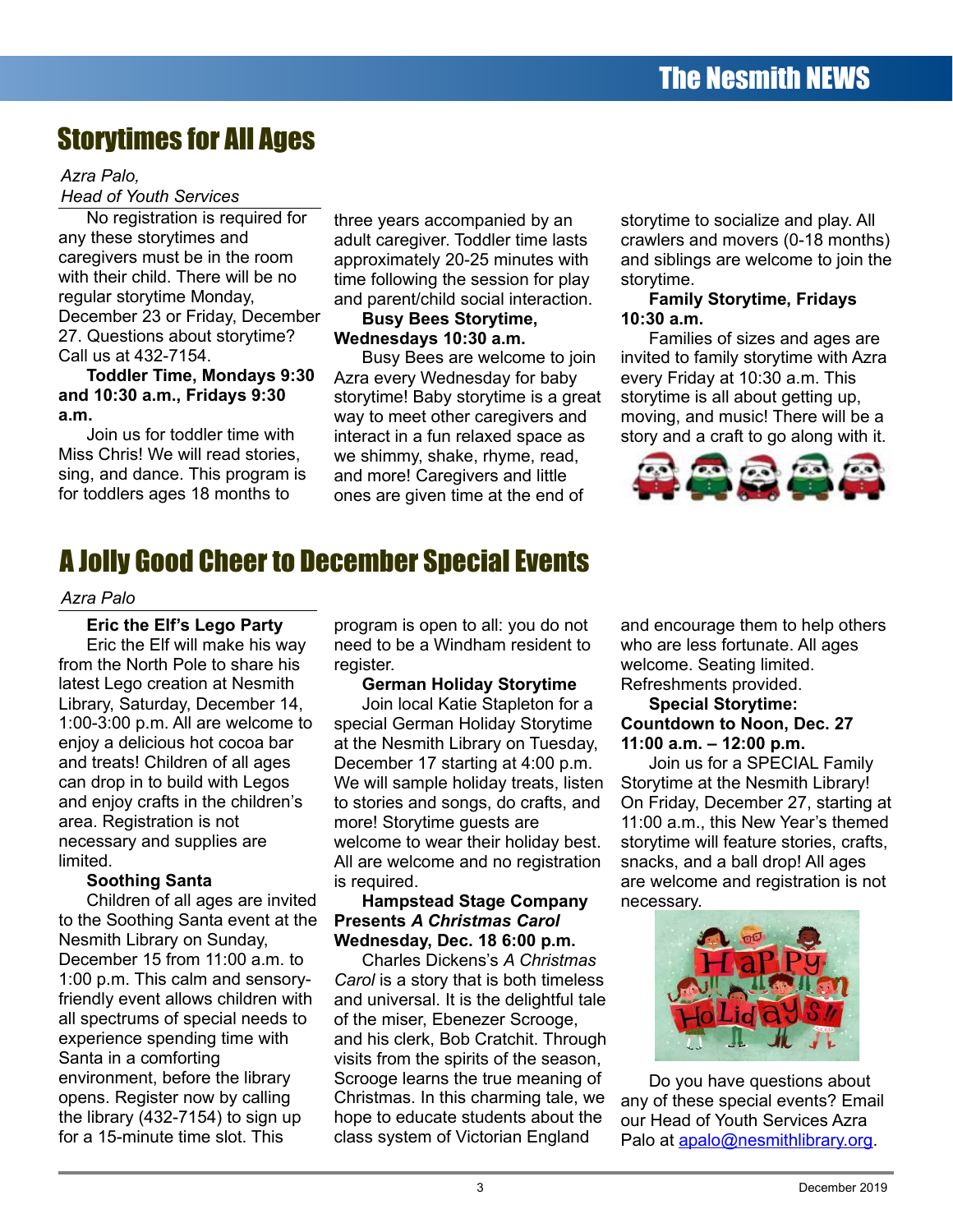## Storytimes for All Ages

#### *Azra Palo,*

#### *Head of Youth Services*

No registration is required for any these storytimes and caregivers must be in the room with their child. There will be no regular storytime Monday, December 23 or Friday, December 27. Questions about storytime? Call us at 432-7154.

#### **Toddler Time, Mondays 9:30 and 10:30 a.m., Fridays 9:30 a.m.**

Join us for toddler time with Miss Chris! We will read stories, sing, and dance. This program is for toddlers ages 18 months to

three years accompanied by an adult caregiver. Toddler time lasts approximately 20-25 minutes with time following the session for play and parent/child social interaction.

#### **Busy Bees Storytime, Wednesdays 10:30 a.m.**

Busy Bees are welcome to join Azra every Wednesday for baby storytime! Baby storytime is a great way to meet other caregivers and interact in a fun relaxed space as we shimmy, shake, rhyme, read, and more! Caregivers and little ones are given time at the end of

storytime to socialize and play. All crawlers and movers (0-18 months) and siblings are welcome to join the storytime.

#### **Family Storytime, Fridays 10:30 a.m.**

Families of sizes and ages are invited to family storytime with Azra every Friday at 10:30 a.m. This storytime is all about getting up, moving, and music! There will be a story and a craft to go along with it.



## A Jolly Good Cheer to December Special Events

#### *Azra Palo*

**Eric the Elf's Lego Party** Eric the Elf will make his way from the North Pole to share his latest Lego creation at Nesmith Library, Saturday, December 14, 1:00-3:00 p.m. All are welcome to enjoy a delicious hot cocoa bar and treats! Children of all ages can drop in to build with Legos and enjoy crafts in the children's area. Registration is not necessary and supplies are limited.

#### **Soothing Santa**

Children of all ages are invited to the Soothing Santa event at the Nesmith Library on Sunday, December 15 from 11:00 a.m. to 1:00 p.m. This calm and sensoryfriendly event allows children with all spectrums of special needs to experience spending time with Santa in a comforting environment, before the library opens. Register now by calling the library (432-7154) to sign up for a 15-minute time slot. This

program is open to all: you do not need to be a Windham resident to register.

#### **German Holiday Storytime**

Join local Katie Stapleton for a special German Holiday Storytime at the Nesmith Library on Tuesday, December 17 starting at 4:00 p.m. We will sample holiday treats, listen to stories and songs, do crafts, and more! Storytime guests are welcome to wear their holiday best. All are welcome and no registration is required.

#### **Hampstead Stage Company Presents** *A Christmas Carol* **Wednesday, Dec. 18 6:00 p.m.**

Charles Dickens's *A Christmas Carol* is a story that is both timeless and universal. It is the delightful tale of the miser, Ebenezer Scrooge, and his clerk, Bob Cratchit. Through visits from the spirits of the season, Scrooge learns the true meaning of Christmas. In this charming tale, we hope to educate students about the class system of Victorian England

and encourage them to help others who are less fortunate. All ages welcome. Seating limited. Refreshments provided.

#### **Special Storytime: Countdown to Noon, Dec. 27 11:00 a.m. – 12:00 p.m.**

Join us for a SPECIAL Family Storytime at the Nesmith Library! On Friday, December 27, starting at 11:00 a.m., this New Year's themed storytime will feature stories, crafts, snacks, and a ball drop! All ages are welcome and registration is not necessary.



Do you have questions about any of these special events? Email our Head of Youth Services Azra Palo at [apalo@nesmithlibrary.org](mailto:apalo@nesmithlibrary.org).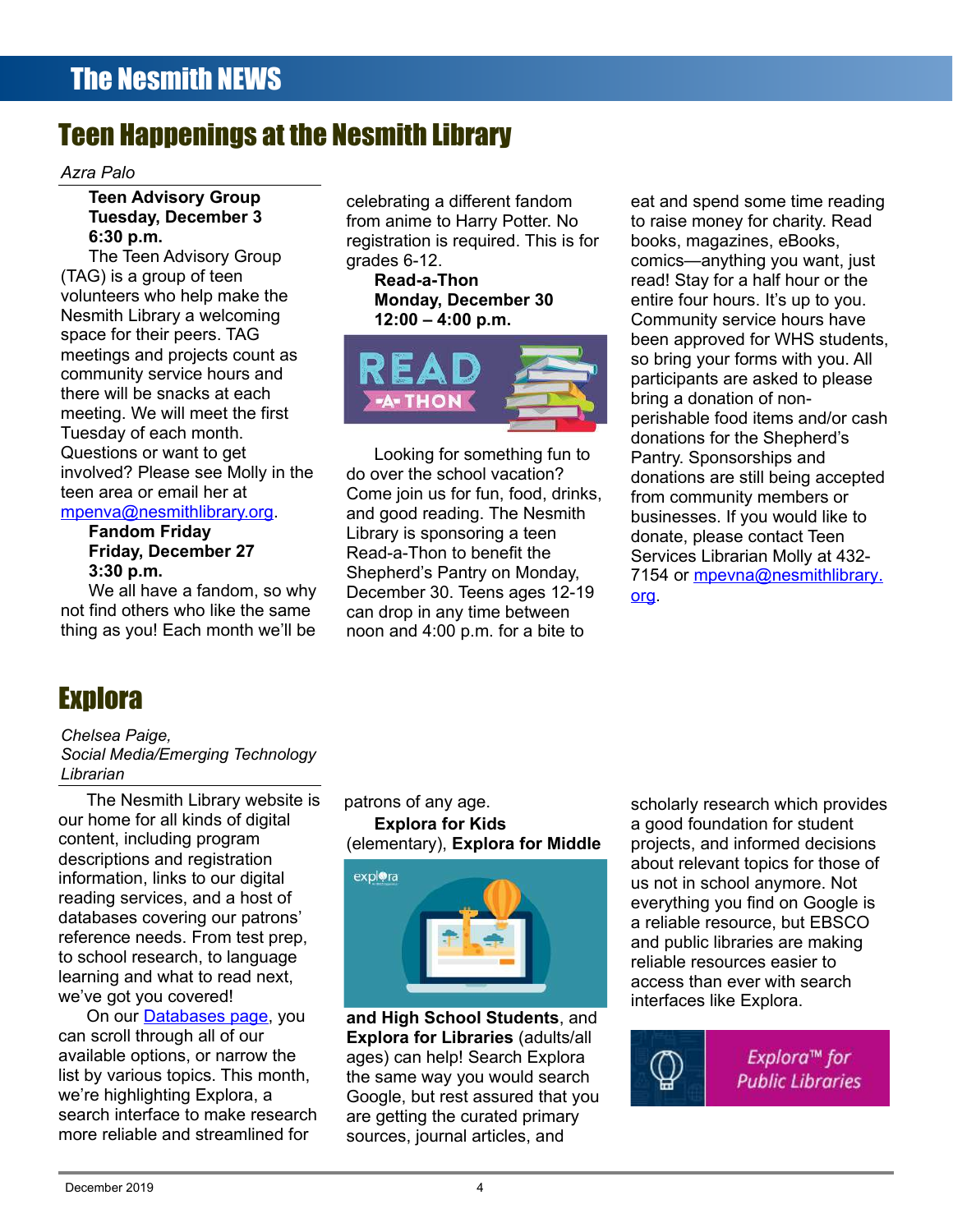## Teen Happenings at the Nesmith Library

#### *Azra Palo*

#### **Teen Advisory Group Tuesday, December 3 6:30 p.m.**

The Teen Advisory Group (TAG) is a group of teen volunteers who help make the Nesmith Library a welcoming space for their peers. TAG meetings and projects count as community service hours and there will be snacks at each meeting. We will meet the first Tuesday of each month. Questions or want to get involved? Please see Molly in the teen area or email her at [mpenva@nesmithlibrary.org.](mailto:mpenva@nesmithlibrary.org)

#### **Fandom Friday Friday, December 27**

```
3:30 p.m.
```
We all have a fandom, so why not find others who like the same thing as you! Each month we'll be

# **Explora**

*Chelsea Paige, Social Media/Emerging Technology Librarian*

The Nesmith Library website is our home for all kinds of digital content, including program descriptions and registration information, links to our digital reading services, and a host of databases covering our patrons' reference needs. From test prep, to school research, to language learning and what to read next, we've got you covered!

On our **Databases page**, you can scroll through all of our available options, or narrow the list by various topics. This month, we're highlighting Explora, a search interface to make research more reliable and streamlined for

celebrating a different fandom from anime to Harry Potter. No registration is required. This is for grades 6-12.

**Read-a-Thon Monday, December 30 12:00 – 4:00 p.m.**



Looking for something fun to do over the school vacation? Come join us for fun, food, drinks, and good reading. The Nesmith Library is sponsoring a teen Read-a-Thon to benefit the Shepherd's Pantry on Monday, December 30. Teens ages 12-19 can drop in any time between noon and 4:00 p.m. for a bite to

eat and spend some time reading to raise money for charity. Read books, magazines, eBooks, comics—anything you want, just read! Stay for a half hour or the entire four hours. It's up to you. Community service hours have been approved for WHS students, so bring your forms with you. All participants are asked to please bring a donation of nonperishable food items and/or cash donations for the Shepherd's Pantry. Sponsorships and donations are still being accepted from community members or businesses. If you would like to donate, please contact Teen Services Librarian Molly at 432- 7154 or mpeyna@nesmithlibrary[.](mailto:mpevna@nesmithlibrary.org) [org](mailto:mpevna@nesmithlibrary.org).

patrons of any age. **Explora for Kids** (elementary), **Explora for Middle**



**and High School Students**, and **Explora for Libraries** (adults/all ages) can help! Search Explora the same way you would search Google, but rest assured that you are getting the curated primary sources, journal articles, and

scholarly research which provides a good foundation for student projects, and informed decisions about relevant topics for those of us not in school anymore. Not everything you find on Google is a reliable resource, but EBSCO and public libraries are making reliable resources easier to access than ever with search interfaces like Explora.



Explora™ for **Public Libraries**